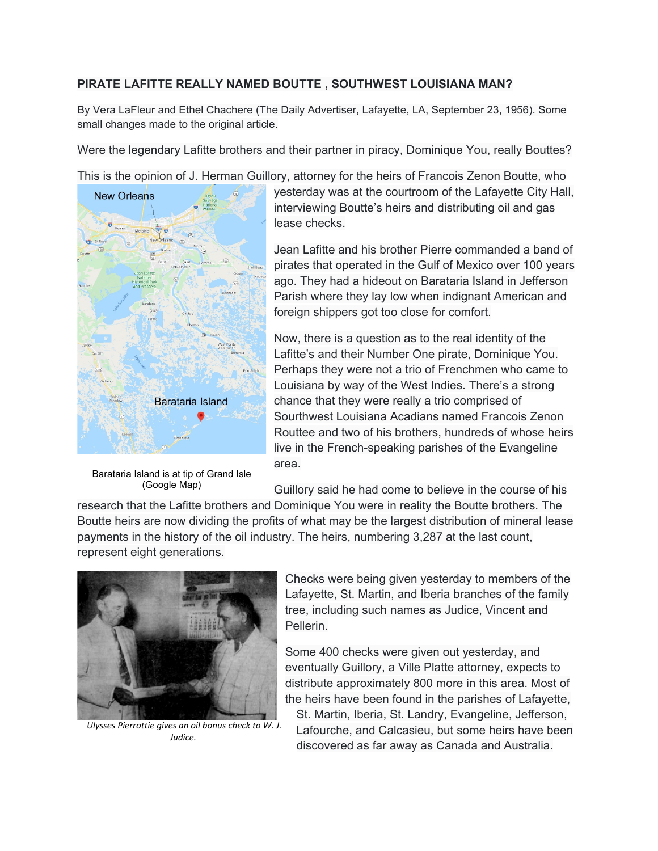# **PIRATE LAFITTE REALLY NAMED BOUTTE , SOUTHWEST LOUISIANA MAN?**

By Vera LaFleur and Ethel Chachere (The Daily Advertiser, Lafayette, LA, September 23, 1956). Some small changes made to the original article.

Were the legendary Lafitte brothers and their partner in piracy, Dominique You, really Bouttes?

This is the opinion of J. Herman Guillory, attorney for the heirs of Francois Zenon Boutte, who



Barataria Island is at tip of Grand Isle (Google Map)

yesterday was at the courtroom of the Lafayette City Hall, interviewing Boutte's heirs and distributing oil and gas lease checks.

Jean Lafitte and his brother Pierre commanded a band of pirates that operated in the Gulf of Mexico over 100 years ago. They had a hideout on Barataria Island in Jefferson Parish where they lay low when indignant American and foreign shippers got too close for comfort.

Now, there is a question as to the real identity of the Lafitte's and their Number One pirate, Dominique You. Perhaps they were not a trio of Frenchmen who came to Louisiana by way of the West Indies. There's a strong chance that they were really a trio comprised of Sourthwest Louisiana Acadians named Francois Zenon Routtee and two of his brothers, hundreds of whose heirs live in the French-speaking parishes of the Evangeline area.

Guillory said he had come to believe in the course of his

research that the Lafitte brothers and Dominique You were in reality the Boutte brothers. The Boutte heirs are now dividing the profits of what may be the largest distribution of mineral lease payments in the history of the oil industry. The heirs, numbering 3,287 at the last count, represent eight generations.



*Ulysses Pierrottie gives an oil bonus check to W. J. Judice.*

Checks were being given yesterday to members of the Lafayette, St. Martin, and Iberia branches of the family tree, including such names as Judice, Vincent and Pellerin.

Some 400 checks were given out yesterday, and eventually Guillory, a Ville Platte attorney, expects to distribute approximately 800 more in this area. Most of the heirs have been found in the parishes of Lafayette,

St. Martin, Iberia, St. Landry, Evangeline, Jefferson, Lafourche, and Calcasieu, but some heirs have been discovered as far away as Canada and Australia.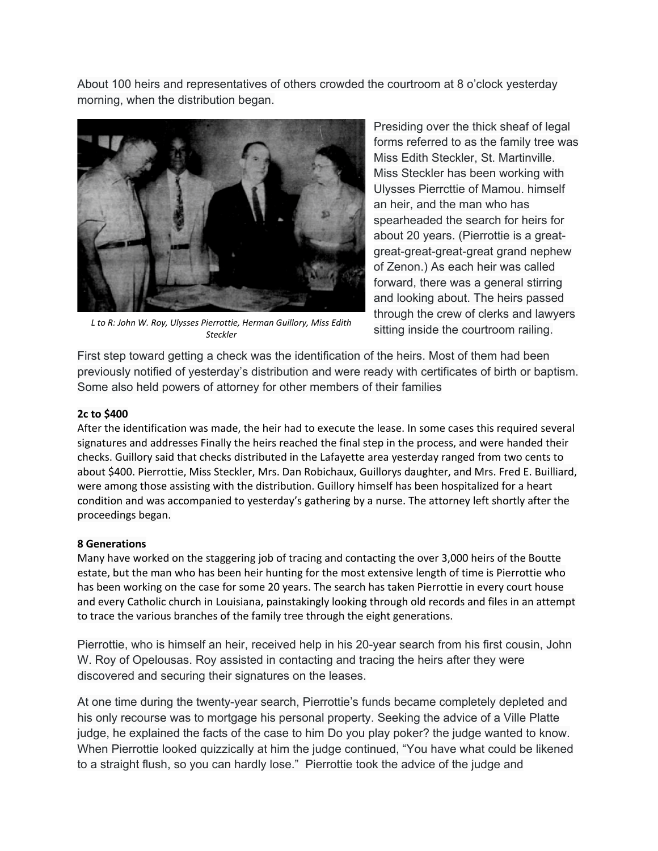About 100 heirs and representatives of others crowded the courtroom at 8 o'clock yesterday morning, when the distribution began.



*L to R: John W. Roy, Ulysses Pierrottie, Herman Guillory, Miss Edith Steckler*

Presiding over the thick sheaf of legal forms referred to as the family tree was Miss Edith Steckler, St. Martinville. Miss Steckler has been working with Ulysses Pierrcttie of Mamou. himself an heir, and the man who has spearheaded the search for heirs for about 20 years. (Pierrottie is a greatgreat-great-great-great grand nephew of Zenon.) As each heir was called forward, there was a general stirring and looking about. The heirs passed through the crew of clerks and lawyers sitting inside the courtroom railing.

First step toward getting a check was the identification of the heirs. Most of them had been previously notified of yesterday's distribution and were ready with certificates of birth or baptism. Some also held powers of attorney for other members of their families

## **2c to \$400**

After the identification was made, the heir had to execute the lease. In some cases this required several signatures and addresses Finally the heirs reached the final step in the process, and were handed their checks. Guillory said that checks distributed in the Lafayette area yesterday ranged from two cents to about \$400. Pierrottie, Miss Steckler, Mrs. Dan Robichaux, Guillorys daughter, and Mrs. Fred E. Builliard, were among those assisting with the distribution. Guillory himself has been hospitalized for a heart condition and was accompanied to yesterday's gathering by a nurse. The attorney left shortly after the proceedings began.

## **8 Generations**

Many have worked on the staggering job of tracing and contacting the over 3,000 heirs of the Boutte estate, but the man who has been heir hunting for the most extensive length of time is Pierrottie who has been working on the case for some 20 years. The search has taken Pierrottie in every court house and every Catholic church in Louisiana, painstakingly looking through old records and files in an attempt to trace the various branches of the family tree through the eight generations.

Pierrottie, who is himself an heir, received help in his 20-year search from his first cousin, John W. Roy of Opelousas. Roy assisted in contacting and tracing the heirs after they were discovered and securing their signatures on the leases.

At one time during the twenty-year search, Pierrottie's funds became completely depleted and his only recourse was to mortgage his personal property. Seeking the advice of a Ville Platte judge, he explained the facts of the case to him Do you play poker? the judge wanted to know. When Pierrottie looked quizzically at him the judge continued, "You have what could be likened to a straight flush, so you can hardly lose." Pierrottie took the advice of the judge and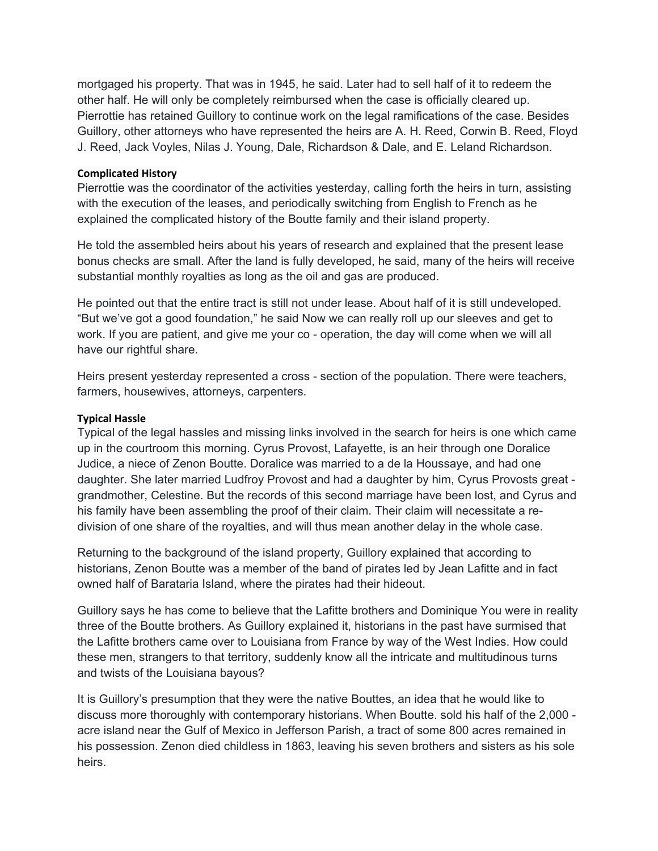mortgaged his property. That was in 1945, he said. Later had to sell half of it to redeem the other half. He will only be completely reimbursed when the case is officially cleared up. Pierrottie has retained Guillory to continue work on the legal ramifications of the case. Besides Guillory, other attorneys who have represented the heirs are A. H. Reed, Corwin B. Reed, Floyd J. Reed, Jack Voyles, Nilas J. Young, Dale, Richardson & Dale, and E. Leland Richardson.

### **Complicated History**

Pierrottie was the coordinator of the activities yesterday, calling forth the heirs in turn, assisting with the execution of the leases, and periodically switching from English to French as he explained the complicated history of the Boutte family and their island property.

He told the assembled heirs about his years of research and explained that the present lease bonus checks are small. After the land is fully developed, he said, many of the heirs will receive substantial monthly royalties as long as the oil and gas are produced.

He pointed out that the entire tract is still not under lease. About half of it is still undeveloped. "But we've got a good foundation," he said Now we can really roll up our sleeves and get to work. If you are patient, and give me your co - operation, the day will come when we will all have our rightful share.

Heirs present yesterday represented a cross - section of the population. There were teachers, farmers, housewives, attorneys, carpenters.

## **Typical Hassle**

Typical of the legal hassles and missing links involved in the search for heirs is one which came up in the courtroom this morning. Cyrus Provost, Lafayette, is an heir through one Doralice Judice, a niece of Zenon Boutte. Doralice was married to a de la Houssaye, and had one daughter. She later married Ludfroy Provost and had a daughter by him, Cyrus Provosts great grandmother, Celestine. But the records of this second marriage have been lost, and Cyrus and his family have been assembling the proof of their claim. Their claim will necessitate a redivision of one share of the royalties, and will thus mean another delay in the whole case.

Returning to the background of the island property, Guillory explained that according to historians, Zenon Boutte was a member of the band of pirates led by Jean Lafitte and in fact owned half of Barataria Island, where the pirates had their hideout.

Guillory says he has come to believe that the Lafitte brothers and Dominique You were in reality three of the Boutte brothers. As Guillory explained it, historians in the past have surmised that the Lafitte brothers came over to Louisiana from France by way of the West Indies. How could these men, strangers to that territory, suddenly know all the intricate and multitudinous turns and twists of the Louisiana bayous?

It is Guillory's presumption that they were the native Bouttes, an idea that he would like to discuss more thoroughly with contemporary historians. When Boutte. sold his half of the 2,000 acre island near the Gulf of Mexico in Jefferson Parish, a tract of some 800 acres remained in his possession. Zenon died childless in 1863, leaving his seven brothers and sisters as his sole heirs.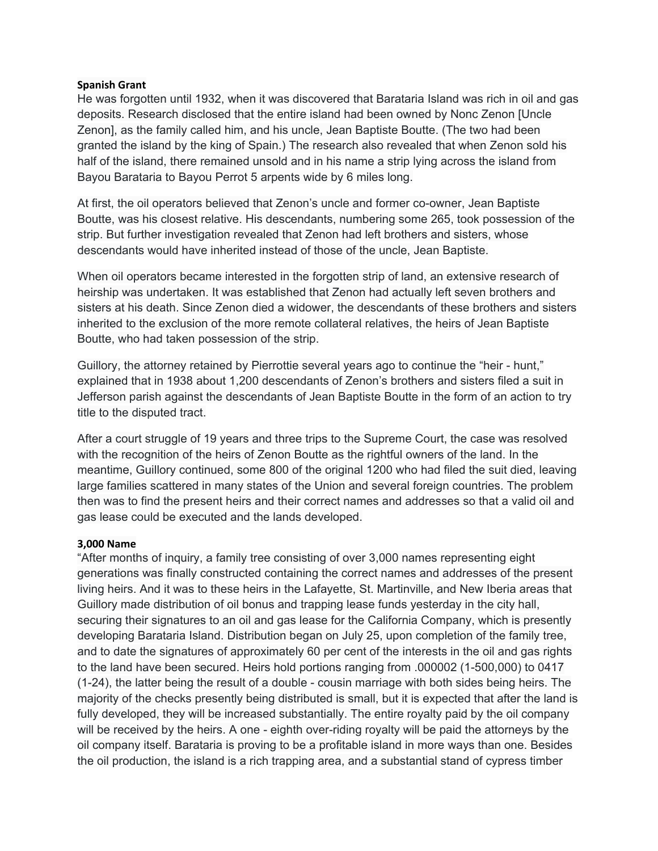### **Spanish Grant**

He was forgotten until 1932, when it was discovered that Barataria Island was rich in oil and gas deposits. Research disclosed that the entire island had been owned by Nonc Zenon [Uncle Zenon], as the family called him, and his uncle, Jean Baptiste Boutte. (The two had been granted the island by the king of Spain.) The research also revealed that when Zenon sold his half of the island, there remained unsold and in his name a strip lying across the island from Bayou Barataria to Bayou Perrot 5 arpents wide by 6 miles long.

At first, the oil operators believed that Zenon's uncle and former co-owner, Jean Baptiste Boutte, was his closest relative. His descendants, numbering some 265, took possession of the strip. But further investigation revealed that Zenon had left brothers and sisters, whose descendants would have inherited instead of those of the uncle, Jean Baptiste.

When oil operators became interested in the forgotten strip of land, an extensive research of heirship was undertaken. It was established that Zenon had actually left seven brothers and sisters at his death. Since Zenon died a widower, the descendants of these brothers and sisters inherited to the exclusion of the more remote collateral relatives, the heirs of Jean Baptiste Boutte, who had taken possession of the strip.

Guillory, the attorney retained by Pierrottie several years ago to continue the "heir - hunt," explained that in 1938 about 1,200 descendants of Zenon's brothers and sisters filed a suit in Jefferson parish against the descendants of Jean Baptiste Boutte in the form of an action to try title to the disputed tract.

After a court struggle of 19 years and three trips to the Supreme Court, the case was resolved with the recognition of the heirs of Zenon Boutte as the rightful owners of the land. In the meantime, Guillory continued, some 800 of the original 1200 who had filed the suit died, leaving large families scattered in many states of the Union and several foreign countries. The problem then was to find the present heirs and their correct names and addresses so that a valid oil and gas lease could be executed and the lands developed.

## **3,000 Name**

"After months of inquiry, a family tree consisting of over 3,000 names representing eight generations was finally constructed containing the correct names and addresses of the present living heirs. And it was to these heirs in the Lafayette, St. Martinville, and New Iberia areas that Guillory made distribution of oil bonus and trapping lease funds yesterday in the city hall, securing their signatures to an oil and gas lease for the California Company, which is presently developing Barataria Island. Distribution began on July 25, upon completion of the family tree, and to date the signatures of approximately 60 per cent of the interests in the oil and gas rights to the land have been secured. Heirs hold portions ranging from .000002 (1-500,000) to 0417 (1-24), the latter being the result of a double - cousin marriage with both sides being heirs. The majority of the checks presently being distributed is small, but it is expected that after the land is fully developed, they will be increased substantially. The entire royalty paid by the oil company will be received by the heirs. A one - eighth over-riding royalty will be paid the attorneys by the oil company itself. Barataria is proving to be a profitable island in more ways than one. Besides the oil production, the island is a rich trapping area, and a substantial stand of cypress timber